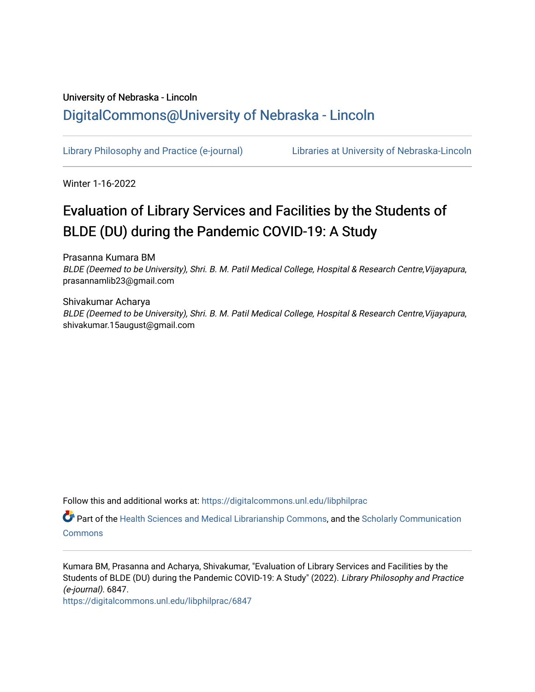# University of Nebraska - Lincoln [DigitalCommons@University of Nebraska - Lincoln](https://digitalcommons.unl.edu/)

[Library Philosophy and Practice \(e-journal\)](https://digitalcommons.unl.edu/libphilprac) [Libraries at University of Nebraska-Lincoln](https://digitalcommons.unl.edu/libraries) 

Winter 1-16-2022

# Evaluation of Library Services and Facilities by the Students of BLDE (DU) during the Pandemic COVID-19: A Study

Prasanna Kumara BM BLDE (Deemed to be University), Shri. B. M. Patil Medical College, Hospital & Research Centre, Vijayapura, prasannamlib23@gmail.com

Shivakumar Acharya BLDE (Deemed to be University), Shri. B. M. Patil Medical College, Hospital & Research Centre,Vijayapura, shivakumar.15august@gmail.com

Follow this and additional works at: [https://digitalcommons.unl.edu/libphilprac](https://digitalcommons.unl.edu/libphilprac?utm_source=digitalcommons.unl.edu%2Flibphilprac%2F6847&utm_medium=PDF&utm_campaign=PDFCoverPages) 

Part of the [Health Sciences and Medical Librarianship Commons](http://network.bepress.com/hgg/discipline/1419?utm_source=digitalcommons.unl.edu%2Flibphilprac%2F6847&utm_medium=PDF&utm_campaign=PDFCoverPages), and the [Scholarly Communication](http://network.bepress.com/hgg/discipline/1272?utm_source=digitalcommons.unl.edu%2Flibphilprac%2F6847&utm_medium=PDF&utm_campaign=PDFCoverPages) **[Commons](http://network.bepress.com/hgg/discipline/1272?utm_source=digitalcommons.unl.edu%2Flibphilprac%2F6847&utm_medium=PDF&utm_campaign=PDFCoverPages)** 

Kumara BM, Prasanna and Acharya, Shivakumar, "Evaluation of Library Services and Facilities by the Students of BLDE (DU) during the Pandemic COVID-19: A Study" (2022). Library Philosophy and Practice (e-journal). 6847.

[https://digitalcommons.unl.edu/libphilprac/6847](https://digitalcommons.unl.edu/libphilprac/6847?utm_source=digitalcommons.unl.edu%2Flibphilprac%2F6847&utm_medium=PDF&utm_campaign=PDFCoverPages)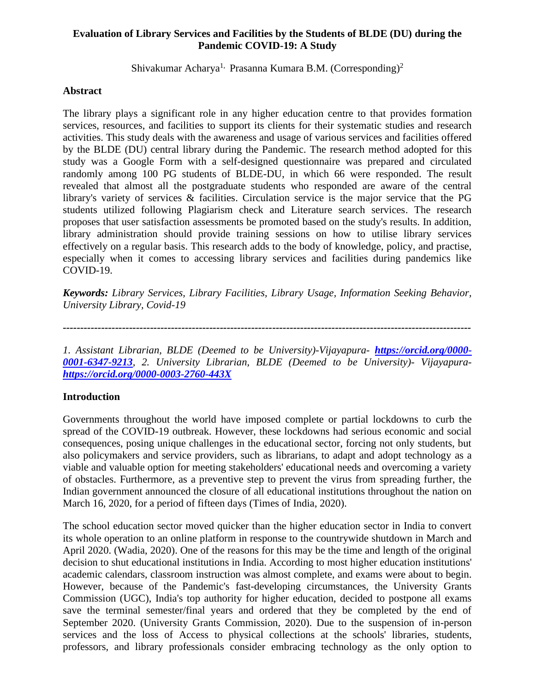# **Evaluation of Library Services and Facilities by the Students of BLDE (DU) during the Pandemic COVID-19: A Study**

Shivakumar Acharya<sup>1,</sup> Prasanna Kumara B.M. (Corresponding)<sup>2</sup>

#### **Abstract**

The library plays a significant role in any higher education centre to that provides formation services, resources, and facilities to support its clients for their systematic studies and research activities. This study deals with the awareness and usage of various services and facilities offered by the BLDE (DU) central library during the Pandemic. The research method adopted for this study was a Google Form with a self-designed questionnaire was prepared and circulated randomly among 100 PG students of BLDE-DU, in which 66 were responded. The result revealed that almost all the postgraduate students who responded are aware of the central library's variety of services & facilities. Circulation service is the major service that the PG students utilized following Plagiarism check and Literature search services. The research proposes that user satisfaction assessments be promoted based on the study's results. In addition, library administration should provide training sessions on how to utilise library services effectively on a regular basis. This research adds to the body of knowledge, policy, and practise, especially when it comes to accessing library services and facilities during pandemics like COVID-19.

*Keywords: Library Services, Library Facilities, Library Usage, Information Seeking Behavior, University Library, Covid-19*

*---------------------------------------------------------------------------------------------------------------------*

*1. Assistant Librarian, BLDE (Deemed to be University)-Vijayapura- [https://orcid.org/0000-](https://orcid.org/0000-0001-6347-9213) [0001-6347-9213](https://orcid.org/0000-0001-6347-9213), 2. University Librarian, BLDE (Deemed to be University)- Vijayapura<https://orcid.org/0000-0003-2760-443X>*

# **Introduction**

Governments throughout the world have imposed complete or partial lockdowns to curb the spread of the COVID-19 outbreak. However, these lockdowns had serious economic and social consequences, posing unique challenges in the educational sector, forcing not only students, but also policymakers and service providers, such as librarians, to adapt and adopt technology as a viable and valuable option for meeting stakeholders' educational needs and overcoming a variety of obstacles. Furthermore, as a preventive step to prevent the virus from spreading further, the Indian government announced the closure of all educational institutions throughout the nation on March 16, 2020, for a period of fifteen days (Times of India, 2020).

The school education sector moved quicker than the higher education sector in India to convert its whole operation to an online platform in response to the countrywide shutdown in March and April 2020. (Wadia, 2020). One of the reasons for this may be the time and length of the original decision to shut educational institutions in India. According to most higher education institutions' academic calendars, classroom instruction was almost complete, and exams were about to begin. However, because of the Pandemic's fast-developing circumstances, the University Grants Commission (UGC), India's top authority for higher education, decided to postpone all exams save the terminal semester/final years and ordered that they be completed by the end of September 2020. (University Grants Commission, 2020). Due to the suspension of in-person services and the loss of Access to physical collections at the schools' libraries, students, professors, and library professionals consider embracing technology as the only option to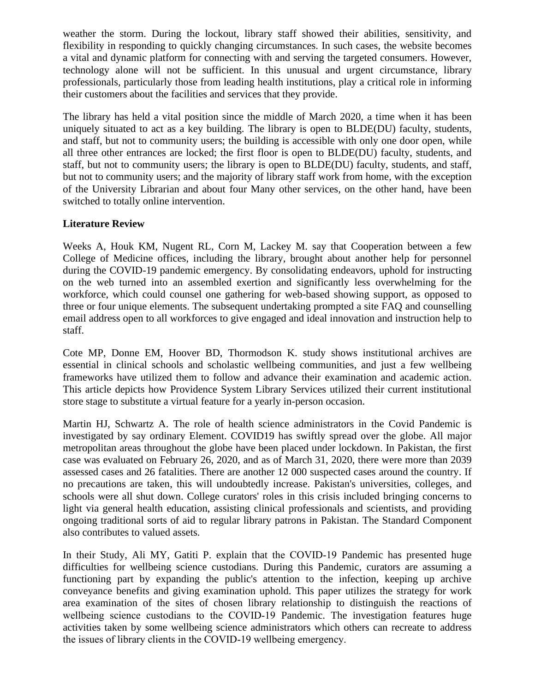weather the storm. During the lockout, library staff showed their abilities, sensitivity, and flexibility in responding to quickly changing circumstances. In such cases, the website becomes a vital and dynamic platform for connecting with and serving the targeted consumers. However, technology alone will not be sufficient. In this unusual and urgent circumstance, library professionals, particularly those from leading health institutions, play a critical role in informing their customers about the facilities and services that they provide.

The library has held a vital position since the middle of March 2020, a time when it has been uniquely situated to act as a key building. The library is open to BLDE(DU) faculty, students, and staff, but not to community users; the building is accessible with only one door open, while all three other entrances are locked; the first floor is open to BLDE(DU) faculty, students, and staff, but not to community users; the library is open to BLDE(DU) faculty, students, and staff, but not to community users; and the majority of library staff work from home, with the exception of the University Librarian and about four Many other services, on the other hand, have been switched to totally online intervention.

# **Literature Review**

Weeks A, Houk KM, Nugent RL, Corn M, Lackey M. say that Cooperation between a few College of Medicine offices, including the library, brought about another help for personnel during the COVID-19 pandemic emergency. By consolidating endeavors, uphold for instructing on the web turned into an assembled exertion and significantly less overwhelming for the workforce, which could counsel one gathering for web-based showing support, as opposed to three or four unique elements. The subsequent undertaking prompted a site FAQ and counselling email address open to all workforces to give engaged and ideal innovation and instruction help to staff.

Cote MP, Donne EM, Hoover BD, Thormodson K. study shows institutional archives are essential in clinical schools and scholastic wellbeing communities, and just a few wellbeing frameworks have utilized them to follow and advance their examination and academic action. This article depicts how Providence System Library Services utilized their current institutional store stage to substitute a virtual feature for a yearly in-person occasion.

Martin HJ, Schwartz A. The role of health science administrators in the Covid Pandemic is investigated by say ordinary Element. COVID19 has swiftly spread over the globe. All major metropolitan areas throughout the globe have been placed under lockdown. In Pakistan, the first case was evaluated on February 26, 2020, and as of March 31, 2020, there were more than 2039 assessed cases and 26 fatalities. There are another 12 000 suspected cases around the country. If no precautions are taken, this will undoubtedly increase. Pakistan's universities, colleges, and schools were all shut down. College curators' roles in this crisis included bringing concerns to light via general health education, assisting clinical professionals and scientists, and providing ongoing traditional sorts of aid to regular library patrons in Pakistan. The Standard Component also contributes to valued assets.

In their Study, Ali MY, Gatiti P. explain that the COVID-19 Pandemic has presented huge difficulties for wellbeing science custodians. During this Pandemic, curators are assuming a functioning part by expanding the public's attention to the infection, keeping up archive conveyance benefits and giving examination uphold. This paper utilizes the strategy for work area examination of the sites of chosen library relationship to distinguish the reactions of wellbeing science custodians to the COVID-19 Pandemic. The investigation features huge activities taken by some wellbeing science administrators which others can recreate to address the issues of library clients in the COVID‐19 wellbeing emergency.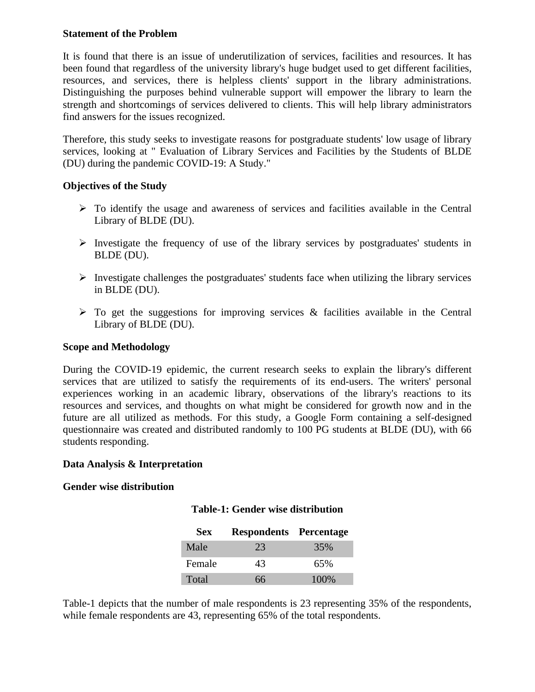#### **Statement of the Problem**

It is found that there is an issue of underutilization of services, facilities and resources. It has been found that regardless of the university library's huge budget used to get different facilities, resources, and services, there is helpless clients' support in the library administrations. Distinguishing the purposes behind vulnerable support will empower the library to learn the strength and shortcomings of services delivered to clients. This will help library administrators find answers for the issues recognized.

Therefore, this study seeks to investigate reasons for postgraduate students' low usage of library services, looking at " Evaluation of Library Services and Facilities by the Students of BLDE (DU) during the pandemic COVID-19: A Study."

# **Objectives of the Study**

- ➢ To identify the usage and awareness of services and facilities available in the Central Library of BLDE (DU).
- ➢ Investigate the frequency of use of the library services by postgraduates' students in BLDE (DU).
- $\triangleright$  Investigate challenges the postgraduates' students face when utilizing the library services in BLDE (DU).
- $\triangleright$  To get the suggestions for improving services & facilities available in the Central Library of BLDE (DU).

#### **Scope and Methodology**

During the COVID-19 epidemic, the current research seeks to explain the library's different services that are utilized to satisfy the requirements of its end-users. The writers' personal experiences working in an academic library, observations of the library's reactions to its resources and services, and thoughts on what might be considered for growth now and in the future are all utilized as methods. For this study, a Google Form containing a self-designed questionnaire was created and distributed randomly to 100 PG students at BLDE (DU), with 66 students responding.

#### **Data Analysis & Interpretation**

#### **Gender wise distribution**

# **Table-1: Gender wise distribution**

| <b>Sex</b> | <b>Respondents Percentage</b> |       |
|------------|-------------------------------|-------|
| Male       | 23                            | 35%   |
| Female     | 43                            | 65%   |
| Total      | 66                            | 100\% |

Table-1 depicts that the number of male respondents is 23 representing 35% of the respondents, while female respondents are 43, representing 65% of the total respondents.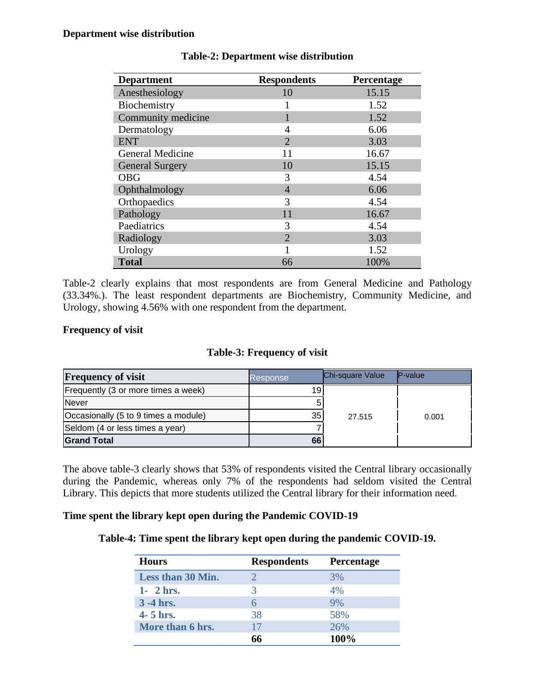| <b>Department</b>      | <b>Respondents</b> | Percentage |
|------------------------|--------------------|------------|
| Anesthesiology         | 10                 | 15.15      |
| Biochemistry           |                    | 1.52       |
| Community medicine     |                    | 1.52       |
| Dermatology            | 4                  | 6.06       |
| <b>ENT</b>             | $\overline{2}$     | 3.03       |
| General Medicine       | 11                 | 16.67      |
| <b>General Surgery</b> | 10                 | 15.15      |
| <b>OBG</b>             | 3                  | 4.54       |
| Ophthalmology          | 4                  | 6.06       |
| Orthopaedics           | 3                  | 4.54       |
| Pathology              | 11                 | 16.67      |
| Paediatrics            | 3                  | 4.54       |
| Radiology              | $\overline{2}$     | 3.03       |
| Urology                |                    | 1.52       |
| <b>Total</b>           | 66                 | 100%       |

# **Table-2: Department wise distribution**

Table-2 clearly explains that most respondents are from General Medicine and Pathology (33.34%.). The least respondent departments are Biochemistry, Community Medicine, and Urology, showing 4.56% with one respondent from the department.

# **Frequency of visit**

# **Table-3: Frequency of visit**

| <b>Frequency of visit</b>            | Response        | Chi-square Value | $P-value$ |  |
|--------------------------------------|-----------------|------------------|-----------|--|
| Frequently (3 or more times a week)  | 19 <sub>1</sub> |                  |           |  |
| <b>Never</b>                         |                 |                  |           |  |
| Occasionally (5 to 9 times a module) | 35              | 27.515           | 0.001     |  |
| Seldom (4 or less times a year)      |                 |                  |           |  |
| <b>Grand Total</b>                   | 66              |                  |           |  |

The above table-3 clearly shows that 53% of respondents visited the Central library occasionally during the Pandemic, whereas only 7% of the respondents had seldom visited the Central Library. This depicts that more students utilized the Central library for their information need.

#### **Time spent the library kept open during the Pandemic COVID-19**

#### **Table-4: Time spent the library kept open during the pandemic COVID-19.**

| <b>Hours</b>      | <b>Respondents</b> | <b>Percentage</b> |
|-------------------|--------------------|-------------------|
| Less than 30 Min. |                    | 3%                |
| $1 - 2$ hrs.      | 3                  | 4%                |
| $3 - 4$ hrs.      |                    | 9%                |
| 4- 5 hrs.         | 38                 | 58%               |
| More than 6 hrs.  | 17                 | 26%               |
|                   | 66                 | 100%              |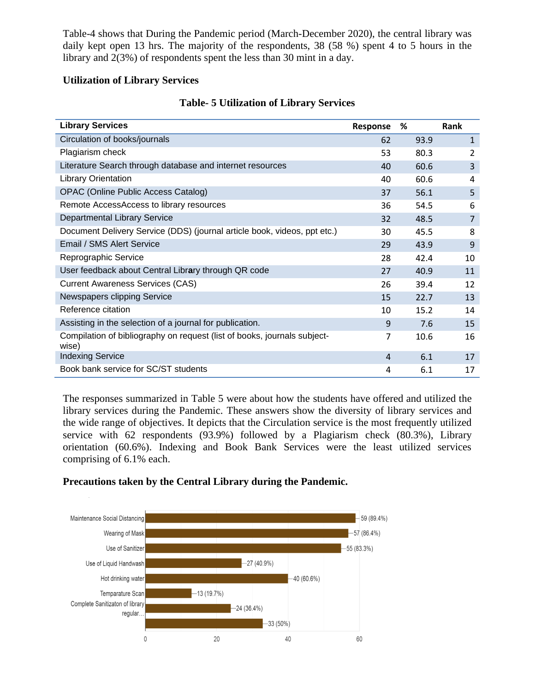Table-4 shows that During the Pandemic period (March-December 2020), the central library was daily kept open 13 hrs. The majority of the respondents, 38 (58 %) spent 4 to 5 hours in the library and 2(3%) of respondents spent the less than 30 mint in a day.

# **Utilization of Library Services**

| <b>Library Services</b>                                                           | Response | %    | <b>Rank</b>    |
|-----------------------------------------------------------------------------------|----------|------|----------------|
| Circulation of books/journals                                                     | 62       | 93.9 | $\mathbf{1}$   |
| Plagiarism check                                                                  | 53       | 80.3 | 2              |
| Literature Search through database and internet resources                         | 40       | 60.6 | 3              |
| <b>Library Orientation</b>                                                        | 40       | 60.6 | 4              |
| <b>OPAC (Online Public Access Catalog)</b>                                        | 37       | 56.1 | 5              |
| Remote AccessAccess to library resources                                          | 36       | 54.5 | 6              |
| Departmental Library Service                                                      | 32       | 48.5 | $\overline{7}$ |
| Document Delivery Service (DDS) (journal article book, videos, ppt etc.)          | 30       | 45.5 | 8              |
| Email / SMS Alert Service                                                         | 29       | 43.9 | 9              |
| Reprographic Service                                                              | 28       | 42.4 | 10             |
| User feedback about Central Library through QR code                               | 27       | 40.9 | 11             |
| <b>Current Awareness Services (CAS)</b>                                           | 26       | 39.4 | 12             |
| Newspapers clipping Service                                                       | 15       | 22.7 | 13             |
| Reference citation                                                                | 10       | 15.2 | 14             |
| Assisting in the selection of a journal for publication.                          | 9        | 7.6  | 15             |
| Compilation of bibliography on request (list of books, journals subject-<br>wise) | 7        | 10.6 | 16             |
| <b>Indexing Service</b>                                                           | 4        | 6.1  | 17             |
| Book bank service for SC/ST students                                              | 4        | 6.1  | 17             |

# **Table- 5 Utilization of Library Services**

The responses summarized in Table 5 were about how the students have offered and utilized the library services during the Pandemic. These answers show the diversity of library services and the wide range of objectives. It depicts that the Circulation service is the most frequently utilized service with 62 respondents (93.9%) followed by a Plagiarism check (80.3%), Library orientation (60.6%). Indexing and Book Bank Services were the least utilized services comprising of 6.1% each.

# **Precautions taken by the Central Library during the Pandemic.**

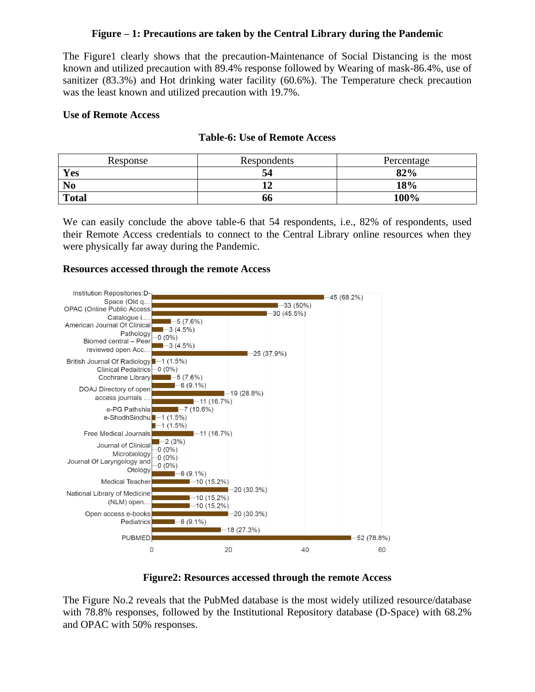# **Figure – 1: Precautions are taken by the Central Library during the Pandemic**

The Figure1 clearly shows that the precaution-Maintenance of Social Distancing is the most known and utilized precaution with 89.4% response followed by Wearing of mask-86.4%, use of sanitizer (83.3%) and Hot drinking water facility (60.6%). The Temperature check precaution was the least known and utilized precaution with 19.7%.

#### **Use of Remote Access**

#### **Table-6: Use of Remote Access**

| Response       | Respondents | Percentage |
|----------------|-------------|------------|
| Yes            | 34          | 82%        |
| N <sub>0</sub> |             | 18%        |
| <b>Total</b>   | 00          | 100%       |

We can easily conclude the above table-6 that 54 respondents, i.e., 82% of respondents, used their Remote Access credentials to connect to the Central Library online resources when they were physically far away during the Pandemic.

#### **Resources accessed through the remote Access**



#### **Figure2: Resources accessed through the remote Access**

The Figure No.2 reveals that the PubMed database is the most widely utilized resource/database with 78.8% responses, followed by the Institutional Repository database (D-Space) with 68.2% and OPAC with 50% responses.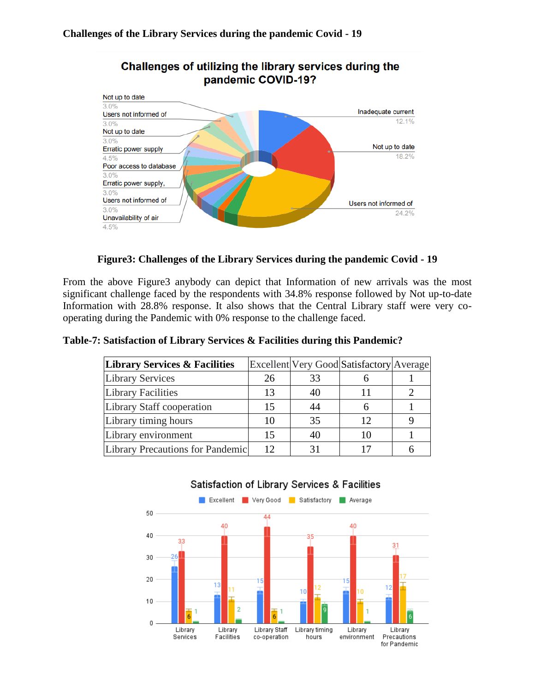

# Challenges of utilizing the library services during the pandemic COVID-19?

**Figure3: Challenges of the Library Services during the pandemic Covid - 19**

From the above Figure3 anybody can depict that Information of new arrivals was the most significant challenge faced by the respondents with 34.8% response followed by Not up-to-date Information with 28.8% response. It also shows that the Central Library staff were very cooperating during the Pandemic with 0% response to the challenge faced.

| Table-7: Satisfaction of Library Services & Facilities during this Pandemic? |  |  |
|------------------------------------------------------------------------------|--|--|
|                                                                              |  |  |

| <b>Library Services &amp; Facilities</b> |    |    | Excellent Very Good Satisfactory Average |  |
|------------------------------------------|----|----|------------------------------------------|--|
| <b>Library Services</b>                  | 26 | 33 |                                          |  |
| <b>Library Facilities</b>                | 13 | 40 |                                          |  |
| Library Staff cooperation                | 15 | 44 |                                          |  |
| Library timing hours                     | 10 | 35 | 12                                       |  |
| Library environment                      | 15 | 40 | 10                                       |  |
| Library Precautions for Pandemic         | 12 |    |                                          |  |



# Satisfaction of Library Services & Facilities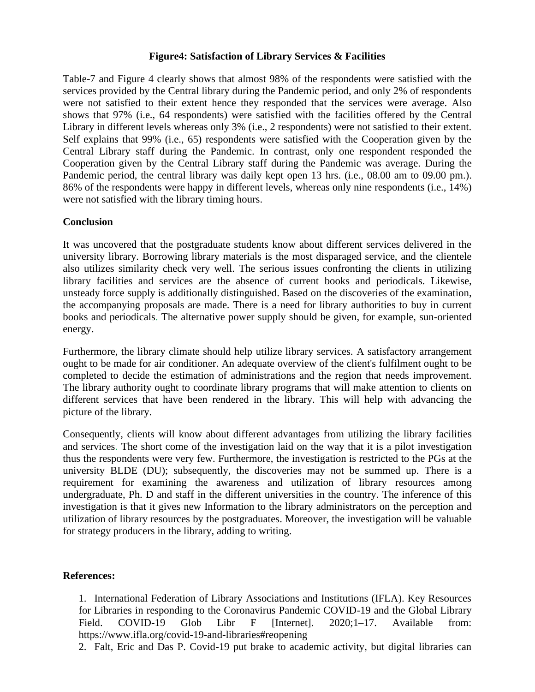#### **Figure4: Satisfaction of Library Services & Facilities**

Table-7 and Figure 4 clearly shows that almost 98% of the respondents were satisfied with the services provided by the Central library during the Pandemic period, and only 2% of respondents were not satisfied to their extent hence they responded that the services were average. Also shows that 97% (i.e., 64 respondents) were satisfied with the facilities offered by the Central Library in different levels whereas only 3% (i.e., 2 respondents) were not satisfied to their extent. Self explains that 99% (i.e., 65) respondents were satisfied with the Cooperation given by the Central Library staff during the Pandemic. In contrast, only one respondent responded the Cooperation given by the Central Library staff during the Pandemic was average. During the Pandemic period, the central library was daily kept open 13 hrs. (i.e., 08.00 am to 09.00 pm.). 86% of the respondents were happy in different levels, whereas only nine respondents (i.e., 14%) were not satisfied with the library timing hours.

# **Conclusion**

It was uncovered that the postgraduate students know about different services delivered in the university library. Borrowing library materials is the most disparaged service, and the clientele also utilizes similarity check very well. The serious issues confronting the clients in utilizing library facilities and services are the absence of current books and periodicals. Likewise, unsteady force supply is additionally distinguished. Based on the discoveries of the examination, the accompanying proposals are made. There is a need for library authorities to buy in current books and periodicals. The alternative power supply should be given, for example, sun-oriented energy.

Furthermore, the library climate should help utilize library services. A satisfactory arrangement ought to be made for air conditioner. An adequate overview of the client's fulfilment ought to be completed to decide the estimation of administrations and the region that needs improvement. The library authority ought to coordinate library programs that will make attention to clients on different services that have been rendered in the library. This will help with advancing the picture of the library.

Consequently, clients will know about different advantages from utilizing the library facilities and services. The short come of the investigation laid on the way that it is a pilot investigation thus the respondents were very few. Furthermore, the investigation is restricted to the PGs at the university BLDE (DU); subsequently, the discoveries may not be summed up. There is a requirement for examining the awareness and utilization of library resources among undergraduate, Ph. D and staff in the different universities in the country. The inference of this investigation is that it gives new Information to the library administrators on the perception and utilization of library resources by the postgraduates. Moreover, the investigation will be valuable for strategy producers in the library, adding to writing.

#### **References:**

1. International Federation of Library Associations and Institutions (IFLA). Key Resources for Libraries in responding to the Coronavirus Pandemic COVID-19 and the Global Library Field. COVID-19 Glob Libr F [Internet]. 2020;1-17. Available from: https://www.ifla.org/covid-19-and-libraries#reopening

2. Falt, Eric and Das P. Covid-19 put brake to academic activity, but digital libraries can